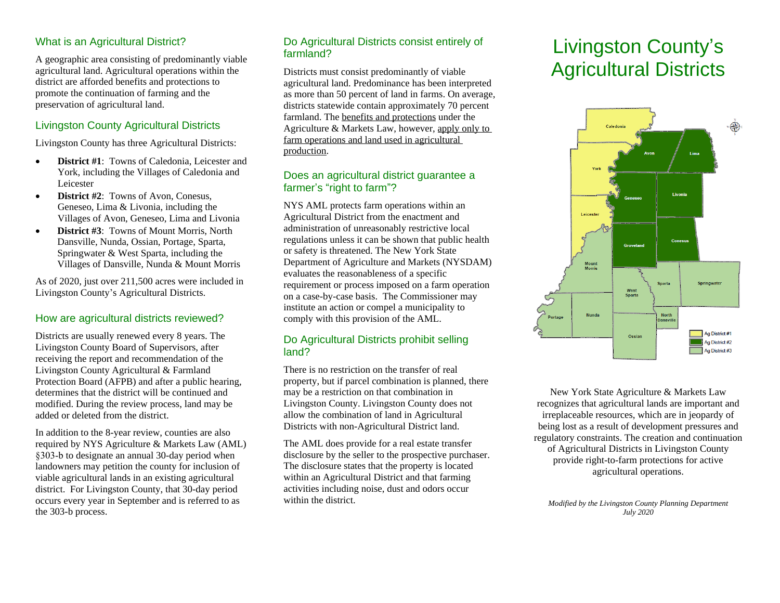# What is an Agricultural District?

A geographic area consisting of predominantly viable agricultural land. Agricultural operations within the district are afforded benefits and protections to promote the continuation of farming and the preservation of agricultural land.

# Livingston County Agricultural Districts

Livingston County has three Agricultural Districts:

- **District #1**: Towns of Caledonia, Leicester and York, including the Villages of Caledonia and Leicester
- **• District #2:** Towns of Avon, Conesus, Geneseo, Lima & Livonia, including the Villages of Avon, Geneseo, Lima and Livonia
- **District #3**: Towns of Mount Morris, North Dansville, Nunda, Ossian, Portage, Sparta, Springwater & West Sparta, including the Villages of Dansville, Nunda & Mount Morris

As of 2020, just over 211,500 acres were included in Livingston County's Agricultural Districts.

### How are agricultural districts reviewed?

Districts are usually renewed every 8 years. The Livingston County Board of Supervisors, after receiving the report and recommendation of the Livingston County Agricultural & Farmland Protection Board (AFPB) and after a public hearing, determines that the district will be continued and modified. During the review process, land may be added or deleted from the district.

In addition to the 8-year review, counties are also required by NYS Agriculture & Markets Law (AML) §303-b to designate an annual 30-day period when landowners may petition the county for inclusion of viable agricultural lands in an existing agricultural district. For Livingston County, that 30-day period occurs every year in September and is referred to as the 303-b process.

### Do Agricultural Districts consist entirely of farmland?

Districts must consist predominantly of viable agricultural land. Predominance has been interpreted as more than 50 percent of land in farms. On average, districts statewide contain approximately 70 percent farmland. The benefits and protections under the Agriculture & Markets Law, however, apply only to farm operations and land used in agricultural production.

### Does an agricultural district guarantee a farmer's "right to farm"?

NYS AML protects farm operations within an Agricultural District from the enactment and administration of unreasonably restrictive local regulations unless it can be shown that public health or safety is threatened. The New York State Department of Agriculture and Markets (NYSDAM) evaluates the reasonableness of a specific requirement or process imposed on a farm operation on a case-by-case basis. The Commissioner may institute an action or compel a municipality to comply with this provision of the AML.

# Do Agricultural Districts prohibit selling land?

There is no restriction on the transfer of real property, but if parcel combination is planned, there may be a restriction on that combination in Livingston County. Livingston County does not allow the combination of land in Agricultural Districts with non-Agricultural District land.

The AML does provide for a real estate transfer disclosure by the seller to the prospective purchaser. The disclosure states that the property is located within an Agricultural District and that farming activities including noise, dust and odors occur within the district.

# Livingston County's Agricultural Districts



New York State Agriculture & Markets Law recognizes that agricultural lands are important and irreplaceable resources, which are in jeopardy of being lost as a result of development pressures and regulatory constraints. The creation and continuation of Agricultural Districts in Livingston County provide right-to-farm protections for active agricultural operations.

*Modified by the Livingston County Planning Department July 2020*